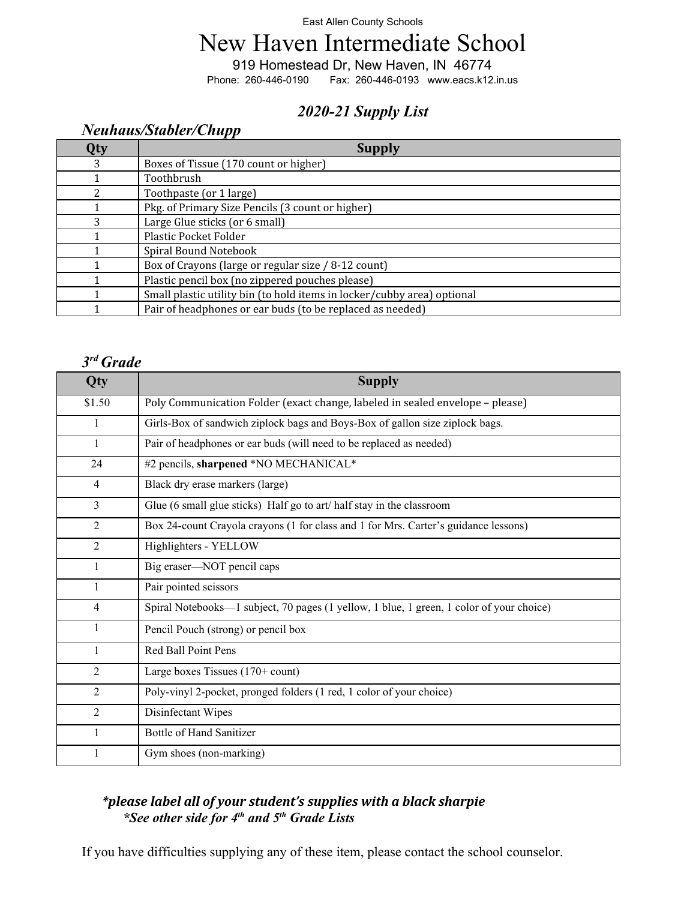#### East Allen County Schools

# New Haven Intermediate School

919 Homestead Dr, New Haven, IN 46774<br>Phone: 260-446-0190 Fax: 260-446-0193 www.eacs.k12

Fax: 260-446-0193 <www.eacs.k12.in.us>

## *2020-21 Supply List*

### *Neuhaus/Stabler/Chupp*

| Qty | <b>Supply</b>                                                           |
|-----|-------------------------------------------------------------------------|
| 3   | Boxes of Tissue (170 count or higher)                                   |
|     | Toothbrush                                                              |
|     | Toothpaste (or 1 large)                                                 |
|     | Pkg. of Primary Size Pencils (3 count or higher)                        |
| 3   | Large Glue sticks (or 6 small)                                          |
|     | Plastic Pocket Folder                                                   |
|     | Spiral Bound Notebook                                                   |
|     | Box of Crayons (large or regular size / 8-12 count)                     |
|     | Plastic pencil box (no zippered pouches please)                         |
|     | Small plastic utility bin (to hold items in locker/cubby area) optional |
|     | Pair of headphones or ear buds (to be replaced as needed)               |

#### *3rd Grade*

| Qty            | <b>Supply</b>                                                                            |
|----------------|------------------------------------------------------------------------------------------|
| \$1.50         | Poly Communication Folder (exact change, labeled in sealed envelope - please)            |
| $\mathbf{1}$   | Girls-Box of sandwich ziplock bags and Boys-Box of gallon size ziplock bags.             |
| $\mathbf{1}$   | Pair of headphones or ear buds (will need to be replaced as needed)                      |
| 24             | #2 pencils, sharpened *NO MECHANICAL*                                                    |
| $\overline{4}$ | Black dry erase markers (large)                                                          |
| 3              | Glue (6 small glue sticks) Half go to art/half stay in the classroom                     |
| 2              | Box 24-count Crayola crayons (1 for class and 1 for Mrs. Carter's guidance lessons)      |
| 2              | Highlighters - YELLOW                                                                    |
| 1              | Big eraser-NOT pencil caps                                                               |
|                | Pair pointed scissors                                                                    |
| $\overline{4}$ | Spiral Notebooks—1 subject, 70 pages (1 yellow, 1 blue, 1 green, 1 color of your choice) |
| 1              | Pencil Pouch (strong) or pencil box                                                      |
| 1              | Red Ball Point Pens                                                                      |
| $\overline{2}$ | Large boxes Tissues $(170 + \text{count})$                                               |
| $\overline{2}$ | Poly-vinyl 2-pocket, pronged folders (1 red, 1 color of your choice)                     |
| $\overline{2}$ | Disinfectant Wipes                                                                       |
| $\mathbf{1}$   | <b>Bottle of Hand Sanitizer</b>                                                          |
|                | Gym shoes (non-marking)                                                                  |

### *\*please label all of your student's supplies with a black sharpie \*See other side for 4th and 5th Grade Lists*

If you have difficulties supplying any of these item, please contact the school counselor.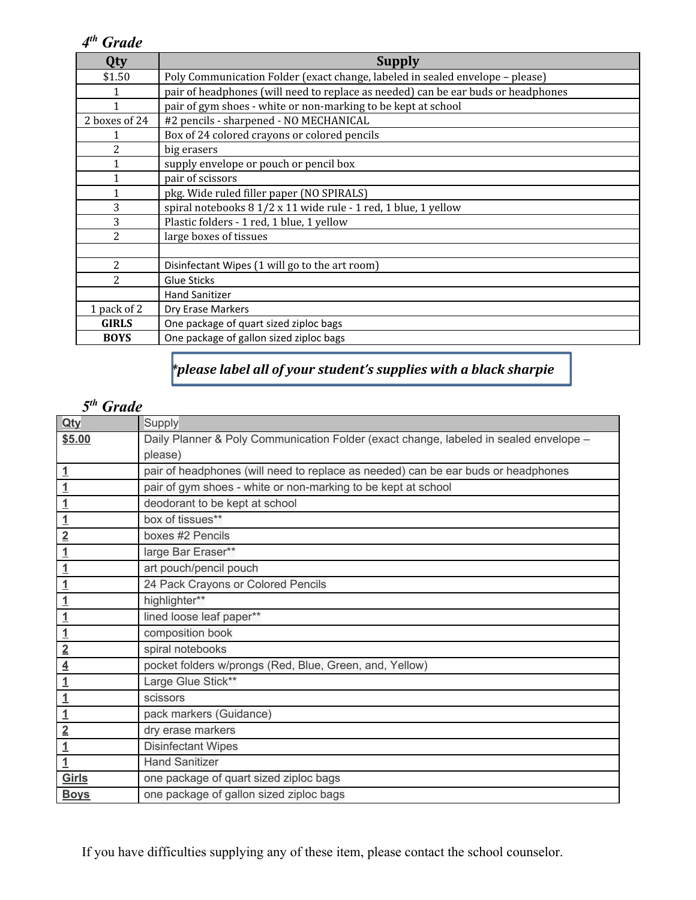## *4th Grade*

| Qty                      | <b>Supply</b>                                                                     |
|--------------------------|-----------------------------------------------------------------------------------|
| \$1.50                   | Poly Communication Folder (exact change, labeled in sealed envelope - please)     |
|                          | pair of headphones (will need to replace as needed) can be ear buds or headphones |
| 1                        | pair of gym shoes - white or non-marking to be kept at school                     |
| 2 boxes of 24            | #2 pencils - sharpened - NO MECHANICAL                                            |
|                          | Box of 24 colored crayons or colored pencils                                      |
| 2                        | big erasers                                                                       |
|                          | supply envelope or pouch or pencil box                                            |
|                          | pair of scissors                                                                  |
|                          | pkg. Wide ruled filler paper (NO SPIRALS)                                         |
| 3                        | spiral notebooks 8 1/2 x 11 wide rule - 1 red, 1 blue, 1 yellow                   |
| 3                        | Plastic folders - 1 red, 1 blue, 1 yellow                                         |
| $\overline{c}$           | large boxes of tissues                                                            |
|                          |                                                                                   |
| $\overline{2}$           | Disinfectant Wipes (1 will go to the art room)                                    |
| $\overline{\mathcal{L}}$ | Glue Sticks                                                                       |
|                          | <b>Hand Sanitizer</b>                                                             |
| 1 pack of 2              | Dry Erase Markers                                                                 |
| <b>GIRLS</b>             | One package of quart sized ziploc bags                                            |
| <b>BOYS</b>              | One package of gallon sized ziploc bags                                           |

## *\*please label all of your student's supplies with a black sharpie*

## *5th Grade*

| Qty            | Supply                                                                                |
|----------------|---------------------------------------------------------------------------------------|
| \$5.00         | Daily Planner & Poly Communication Folder (exact change, labeled in sealed envelope - |
|                | please)                                                                               |
| $\overline{1}$ | pair of headphones (will need to replace as needed) can be ear buds or headphones     |
| $\overline{1}$ | pair of gym shoes - white or non-marking to be kept at school                         |
| $\overline{1}$ | deodorant to be kept at school                                                        |
| $\overline{1}$ | box of tissues**                                                                      |
| $\overline{2}$ | boxes #2 Pencils                                                                      |
| $\overline{1}$ | large Bar Eraser**                                                                    |
| $\overline{1}$ | art pouch/pencil pouch                                                                |
| $\overline{1}$ | 24 Pack Crayons or Colored Pencils                                                    |
| $\overline{1}$ | highlighter**                                                                         |
| $\overline{1}$ | lined loose leaf paper**                                                              |
| $\overline{1}$ | composition book                                                                      |
| $\overline{2}$ | spiral notebooks                                                                      |
| $\overline{4}$ | pocket folders w/prongs (Red, Blue, Green, and, Yellow)                               |
| $\overline{1}$ | Large Glue Stick**                                                                    |
| $\overline{1}$ | scissors                                                                              |
| $\overline{1}$ | pack markers (Guidance)                                                               |
| $\overline{2}$ | dry erase markers                                                                     |
| $\overline{1}$ | <b>Disinfectant Wipes</b>                                                             |
| $\overline{1}$ | <b>Hand Sanitizer</b>                                                                 |
| Girls          | one package of quart sized ziploc bags                                                |
| <b>Boys</b>    | one package of gallon sized ziploc bags                                               |

If you have difficulties supplying any of these item, please contact the school counselor.